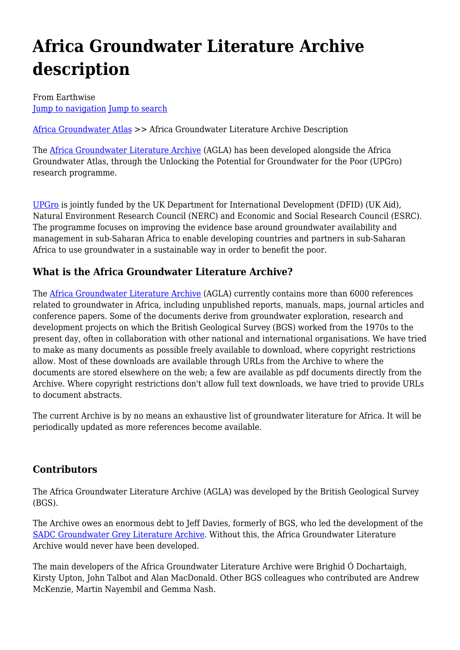# **Africa Groundwater Literature Archive description**

From Earthwise [Jump to navigation](#page--1-0) [Jump to search](#page--1-0)

[Africa Groundwater Atlas](http://earthwise.bgs.ac.uk/index.php/Africa_Groundwater_Atlas_Home) >> Africa Groundwater Literature Archive Description

The [Africa Groundwater Literature Archive](http://www.bgs.ac.uk/africagroundwateratlas/) (AGLA) has been developed alongside the Africa Groundwater Atlas, through the Unlocking the Potential for Groundwater for the Poor (UPGro) research programme.

[UPGro](http://upgro.org/) is jointly funded by the UK Department for International Development (DFID) (UK Aid), Natural Environment Research Council (NERC) and Economic and Social Research Council (ESRC). The programme focuses on improving the evidence base around groundwater availability and management in sub-Saharan Africa to enable developing countries and partners in sub-Saharan Africa to use groundwater in a sustainable way in order to benefit the poor.

# **What is the Africa Groundwater Literature Archive?**

The [Africa Groundwater Literature Archive](http://www.bgs.ac.uk/africagroundwateratlas/) (AGLA) currently contains more than 6000 references related to groundwater in Africa, including unpublished reports, manuals, maps, journal articles and conference papers. Some of the documents derive from groundwater exploration, research and development projects on which the British Geological Survey (BGS) worked from the 1970s to the present day, often in collaboration with other national and international organisations. We have tried to make as many documents as possible freely available to download, where copyright restrictions allow. Most of these downloads are available through URLs from the Archive to where the documents are stored elsewhere on the web; a few are available as pdf documents directly from the Archive. Where copyright restrictions don't allow full text downloads, we have tried to provide URLs to document abstracts.

The current Archive is by no means an exhaustive list of groundwater literature for Africa. It will be periodically updated as more references become available.

# **Contributors**

The Africa Groundwater Literature Archive (AGLA) was developed by the British Geological Survey (BGS).

The Archive owes an enormous debt to Jeff Davies, formerly of BGS, who led the development of the [SADC Groundwater Grey Literature Archive.](http://www.bgs.ac.uk/sadc/) Without this, the Africa Groundwater Literature Archive would never have been developed.

The main developers of the Africa Groundwater Literature Archive were Brighid Ó Dochartaigh, Kirsty Upton, John Talbot and Alan MacDonald. Other BGS colleagues who contributed are Andrew McKenzie, Martin Nayembil and Gemma Nash.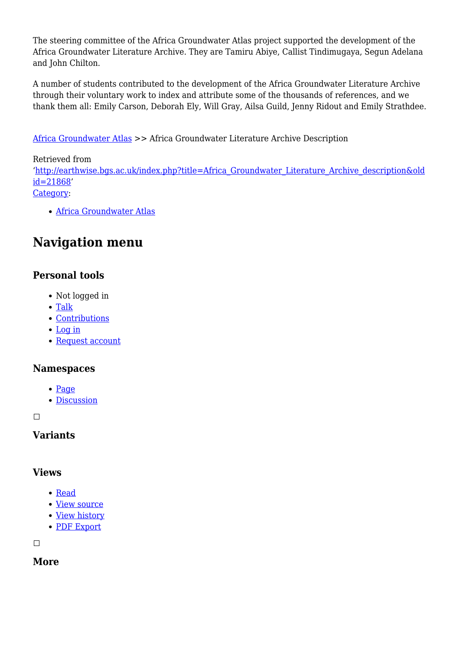The steering committee of the Africa Groundwater Atlas project supported the development of the Africa Groundwater Literature Archive. They are Tamiru Abiye, Callist Tindimugaya, Segun Adelana and John Chilton.

A number of students contributed to the development of the Africa Groundwater Literature Archive through their voluntary work to index and attribute some of the thousands of references, and we thank them all: Emily Carson, Deborah Ely, Will Gray, Ailsa Guild, Jenny Ridout and Emily Strathdee.

[Africa Groundwater Atlas](http://earthwise.bgs.ac.uk/index.php/Africa_Groundwater_Atlas_Home) >> Africa Groundwater Literature Archive Description

#### Retrieved from

'[http://earthwise.bgs.ac.uk/index.php?title=Africa\\_Groundwater\\_Literature\\_Archive\\_description&old](http://earthwise.bgs.ac.uk/index.php?title=Africa_Groundwater_Literature_Archive_description&oldid=21868) [id=21868'](http://earthwise.bgs.ac.uk/index.php?title=Africa_Groundwater_Literature_Archive_description&oldid=21868)

[Category](http://earthwise.bgs.ac.uk/index.php/Special:Categories):

[Africa Groundwater Atlas](http://earthwise.bgs.ac.uk/index.php/Category:Africa_Groundwater_Atlas)

# **Navigation menu**

### **Personal tools**

- Not logged in
- [Talk](http://earthwise.bgs.ac.uk/index.php/Special:MyTalk)
- [Contributions](http://earthwise.bgs.ac.uk/index.php/Special:MyContributions)
- [Log in](http://earthwise.bgs.ac.uk/index.php?title=Special:UserLogin&returnto=Africa+Groundwater+Literature+Archive+description&returntoquery=action%3Dmpdf)
- [Request account](http://earthwise.bgs.ac.uk/index.php/Special:RequestAccount)

#### **Namespaces**

- $\bullet$  [Page](http://earthwise.bgs.ac.uk/index.php/Africa_Groundwater_Literature_Archive_description)
- [Discussion](http://earthwise.bgs.ac.uk/index.php?title=Talk:Africa_Groundwater_Literature_Archive_description&action=edit&redlink=1)

 $\Box$ 

#### **Variants**

#### **Views**

- [Read](http://earthwise.bgs.ac.uk/index.php/Africa_Groundwater_Literature_Archive_description)
- [View source](http://earthwise.bgs.ac.uk/index.php?title=Africa_Groundwater_Literature_Archive_description&action=edit)
- [View history](http://earthwise.bgs.ac.uk/index.php?title=Africa_Groundwater_Literature_Archive_description&action=history)
- [PDF Export](http://earthwise.bgs.ac.uk/index.php?title=Africa_Groundwater_Literature_Archive_description&action=mpdf)

 $\Box$ 

**More**